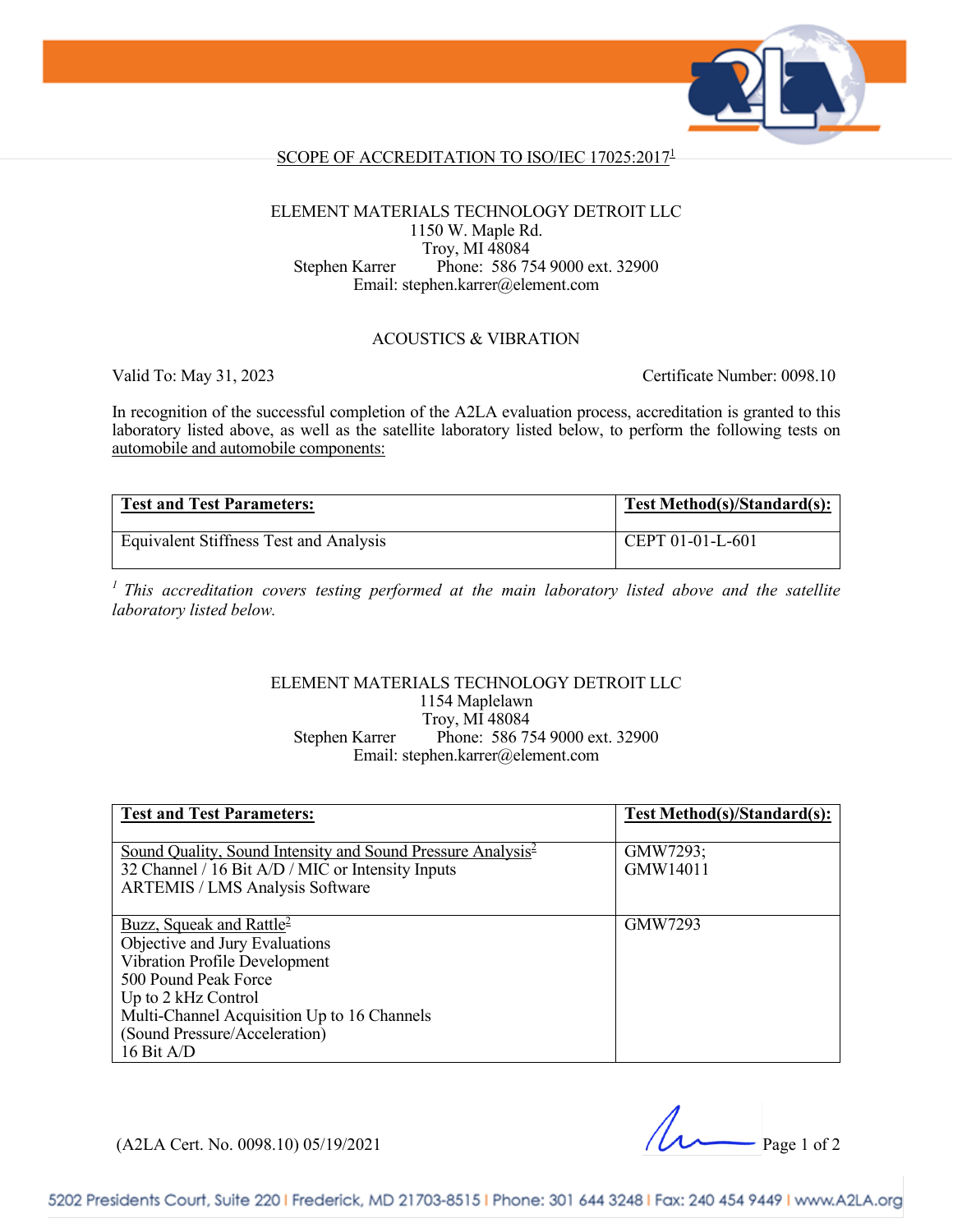

### SCOPE OF ACCREDITATION TO ISO/IEC 17025:20171

#### ELEMENT MATERIALS TECHNOLOGY DETROIT LLC 1150 W. Maple Rd. Troy, MI 48084 Stephen Karrer Phone: 586 754 9000 ext. 32900 Email: stephen.karrer@element.com

#### ACOUSTICS & VIBRATION

Valid To: May 31, 2023 Certificate Number: 0098.10

In recognition of the successful completion of the A2LA evaluation process, accreditation is granted to this laboratory listed above, as well as the satellite laboratory listed below, to perform the following tests on automobile and automobile components:

| <b>Test and Test Parameters:</b>       | Test Method(s)/Standard(s): |
|----------------------------------------|-----------------------------|
| Equivalent Stiffness Test and Analysis | $\mid$ CEPT 01-01-L-601     |

*1 This accreditation covers testing performed at the main laboratory listed above and the satellite laboratory listed below.*

#### ELEMENT MATERIALS TECHNOLOGY DETROIT LLC 1154 Maplelawn Troy, MI 48084 Stephen Karrer Phone: 586 754 9000 ext. 32900 Email: stephen.karrer@element.com

| <b>Test and Test Parameters:</b>                                                                                                                                                                                                                     | Test Method(s)/Standard(s): |
|------------------------------------------------------------------------------------------------------------------------------------------------------------------------------------------------------------------------------------------------------|-----------------------------|
| Sound Quality, Sound Intensity and Sound Pressure Analysis <sup>2</sup><br>32 Channel / 16 Bit A/D / MIC or Intensity Inputs<br><b>ARTEMIS / LMS Analysis Software</b>                                                                               | GMW7293;<br>GMW14011        |
| Buzz, Squeak and Rattle <sup>2</sup><br>Objective and Jury Evaluations<br>Vibration Profile Development<br>500 Pound Peak Force<br>Up to 2 kHz Control<br>Multi-Channel Acquisition Up to 16 Channels<br>(Sound Pressure/Acceleration)<br>16 Bit A/D | GMW7293                     |

(A2LA Cert. No. 0098.10) 05/19/2021 Page 1 of 2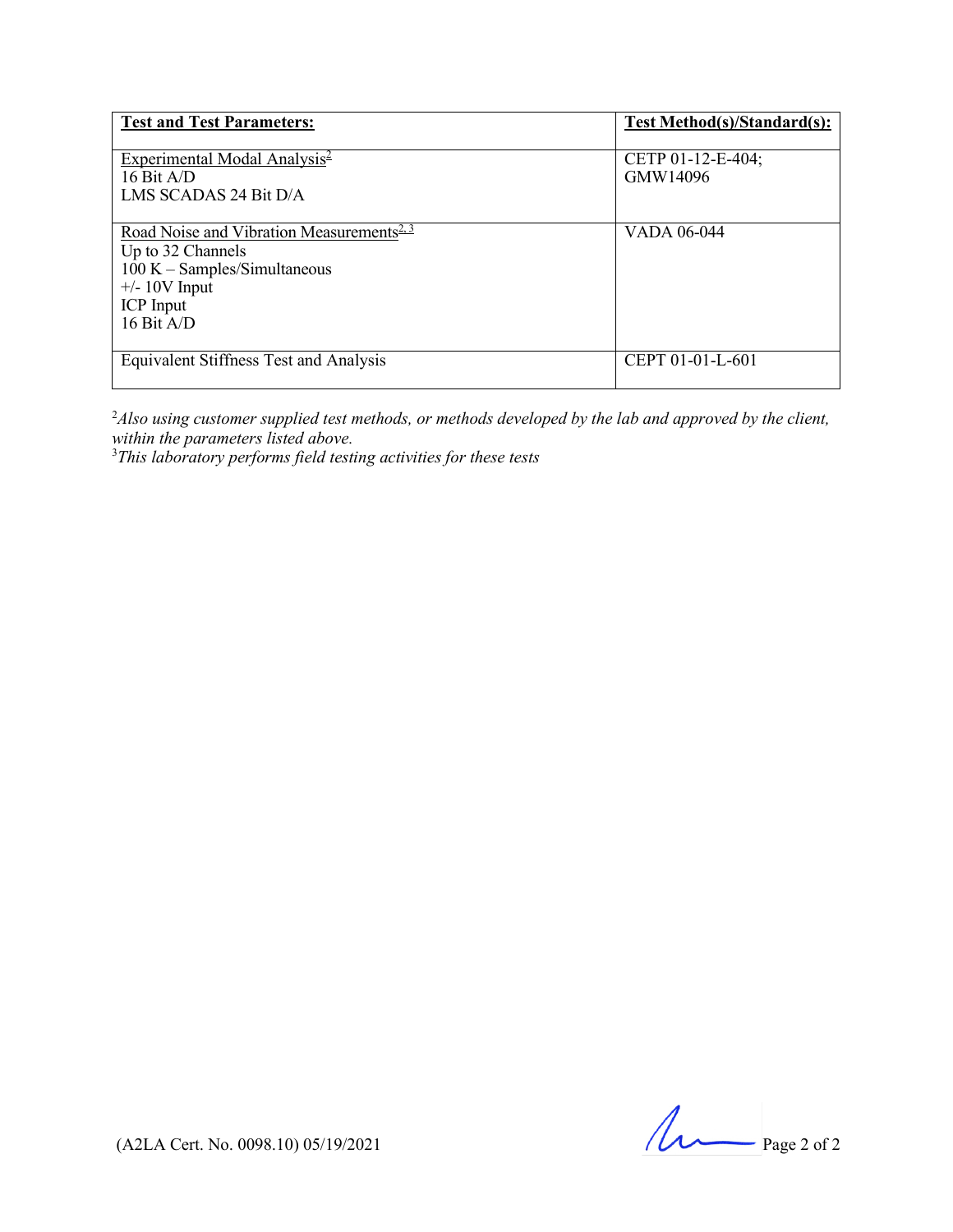| <b>Test and Test Parameters:</b>                                                                                                                                    | Test Method(s)/Standard(s):   |
|---------------------------------------------------------------------------------------------------------------------------------------------------------------------|-------------------------------|
| Experimental Modal Analysis $\frac{2}{3}$<br>16 Bit $A/D$<br>LMS SCADAS 24 Bit D/A                                                                                  | CETP 01-12-E-404;<br>GMW14096 |
| Road Noise and Vibration Measurements <sup>2, 3</sup><br>Up to 32 Channels<br>$100 K - Samples/Simultaneous$<br>$+/- 10V$ Input<br><b>ICP</b> Input<br>16 Bit $A/D$ | VADA 06-044                   |
| Equivalent Stiffness Test and Analysis                                                                                                                              | CEPT 01-01-L-601              |

2 *Also using customer supplied test methods, or methods developed by the lab and approved by the client, within the parameters listed above.* 3 *This laboratory performs field testing activities for these tests*

 $($ A2LA Cert. No. 0098.10) 05/19/2021 Page 2 of 2